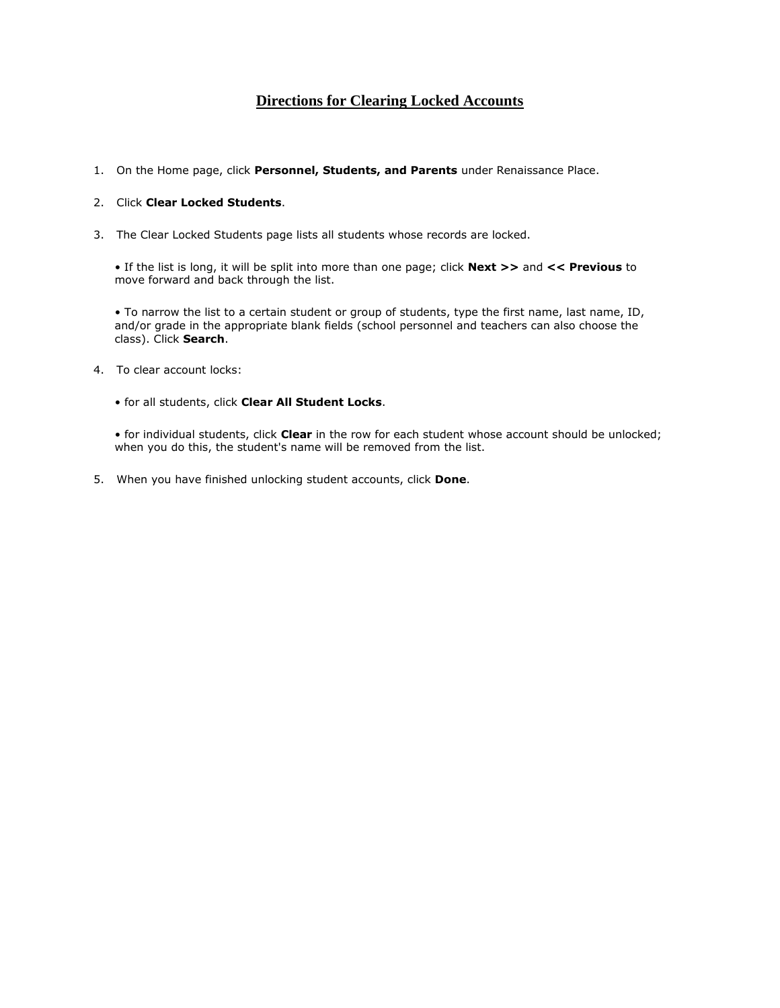# **Directions for Clearing Locked Accounts**

1. On the Home page, click **Personnel, Students, and Parents** under Renaissance Place.

### 2. Click **Clear Locked Students**.

3. The Clear Locked Students page lists all students whose records are locked.

• If the list is long, it will be split into more than one page; click **Next >>** and **<< Previous** to move forward and back through the list.

• To narrow the list to a certain student or group of students, type the first name, last name, ID, and/or grade in the appropriate blank fields (school personnel and teachers can also choose the class). Click **Search**.

- 4. To clear account locks:
	- for all students, click **Clear All Student Locks**.

• for individual students, click **Clear** in the row for each student whose account should be unlocked; when you do this, the student's name will be removed from the list.

5. When you have finished unlocking student accounts, click **Done**.